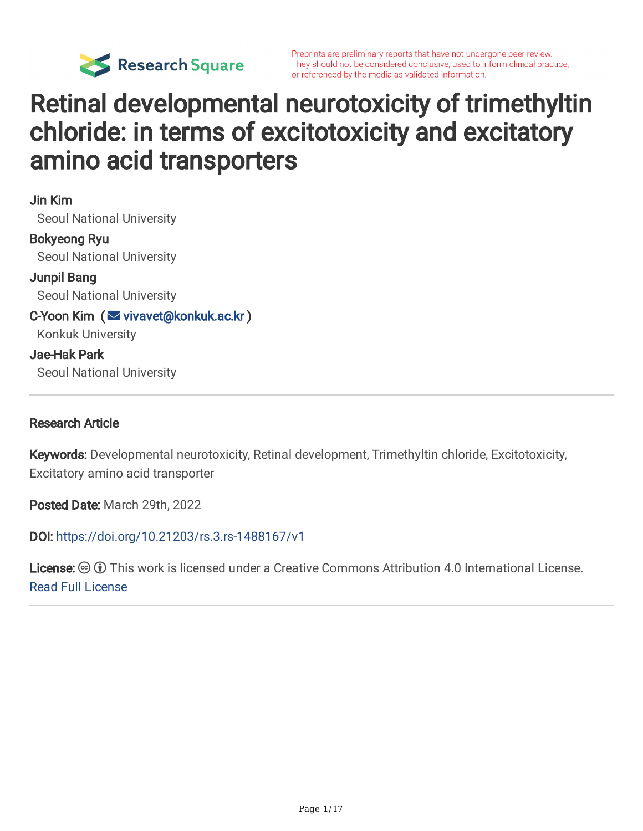

Preprints are preliminary reports that have not undergone peer review. They should not be considered conclusive, used to inform clinical practice, or referenced by the media as validated information.

### Retinal developmental neurotoxicity of trimethyltin chloride: in terms of excitotoxicity and excitatory amino acid transporters

Jin Kim Seoul National University Bokyeong Ryu Seoul National University Junpil Bang Seoul National University C-Yoon Kim (  $\vee$  [vivavet@konkuk.ac.kr](mailto:vivavet@konkuk.ac.kr)) Konkuk University Jae-Hak Park Seoul National University

#### Research Article

Keywords: Developmental neurotoxicity, Retinal development, Trimethyltin chloride, Excitotoxicity, Excitatory amino acid transporter

Posted Date: March 29th, 2022

DOI: <https://doi.org/10.21203/rs.3.rs-1488167/v1>

**License:**  $\circledcirc$   $\circledcirc$  This work is licensed under a Creative Commons Attribution 4.0 International License. Read Full [License](https://creativecommons.org/licenses/by/4.0/)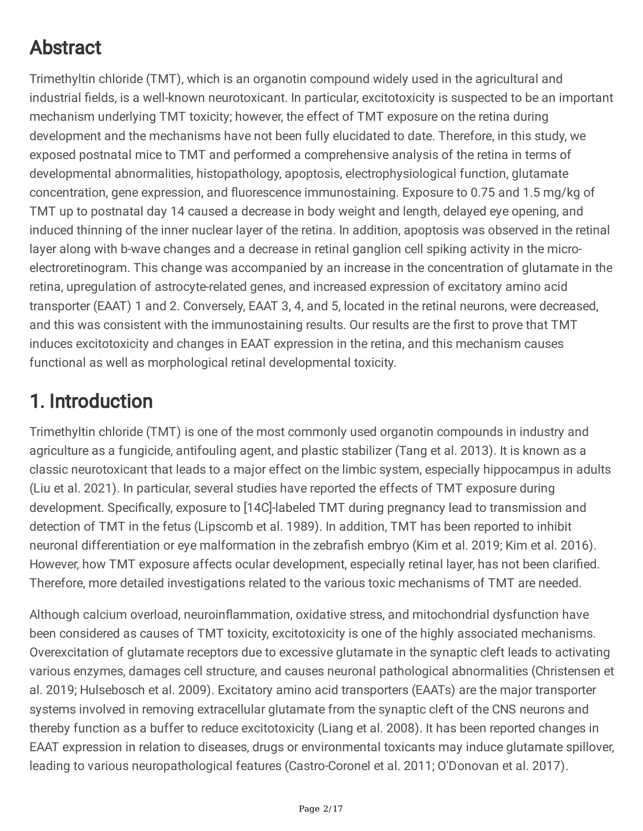### Abstract

Trimethyltin chloride (TMT), which is an organotin compound widely used in the agricultural and industrial fields, is a well-known neurotoxicant. In particular, excitotoxicity is suspected to be an important mechanism underlying TMT toxicity; however, the effect of TMT exposure on the retina during development and the mechanisms have not been fully elucidated to date. Therefore, in this study, we exposed postnatal mice to TMT and performed a comprehensive analysis of the retina in terms of developmental abnormalities, histopathology, apoptosis, electrophysiological function, glutamate concentration, gene expression, and fluorescence immunostaining. Exposure to 0.75 and 1.5 mg/kg of TMT up to postnatal day 14 caused a decrease in body weight and length, delayed eye opening, and induced thinning of the inner nuclear layer of the retina. In addition, apoptosis was observed in the retinal layer along with b-wave changes and a decrease in retinal ganglion cell spiking activity in the microelectroretinogram. This change was accompanied by an increase in the concentration of glutamate in the retina, upregulation of astrocyte-related genes, and increased expression of excitatory amino acid transporter (EAAT) 1 and 2. Conversely, EAAT 3, 4, and 5, located in the retinal neurons, were decreased, and this was consistent with the immunostaining results. Our results are the first to prove that TMT induces excitotoxicity and changes in EAAT expression in the retina, and this mechanism causes functional as well as morphological retinal developmental toxicity.

#### 1. Introduction

Trimethyltin chloride (TMT) is one of the most commonly used organotin compounds in industry and agriculture as a fungicide, antifouling agent, and plastic stabilizer (Tang et al. 2013). It is known as a classic neurotoxicant that leads to a major effect on the limbic system, especially hippocampus in adults (Liu et al. 2021). In particular, several studies have reported the effects of TMT exposure during development. Specifically, exposure to [14C]-labeled TMT during pregnancy lead to transmission and detection of TMT in the fetus (Lipscomb et al. 1989). In addition, TMT has been reported to inhibit neuronal differentiation or eye malformation in the zebrafish embryo (Kim et al. 2019; Kim et al. 2016). However, how TMT exposure affects ocular development, especially retinal layer, has not been clarified. Therefore, more detailed investigations related to the various toxic mechanisms of TMT are needed.

Although calcium overload, neuroinflammation, oxidative stress, and mitochondrial dysfunction have been considered as causes of TMT toxicity, excitotoxicity is one of the highly associated mechanisms. Overexcitation of glutamate receptors due to excessive glutamate in the synaptic cleft leads to activating various enzymes, damages cell structure, and causes neuronal pathological abnormalities (Christensen et al. 2019; Hulsebosch et al. 2009). Excitatory amino acid transporters (EAATs) are the major transporter systems involved in removing extracellular glutamate from the synaptic cleft of the CNS neurons and thereby function as a buffer to reduce excitotoxicity (Liang et al. 2008). It has been reported changes in EAAT expression in relation to diseases, drugs or environmental toxicants may induce glutamate spillover, leading to various neuropathological features (Castro-Coronel et al. 2011; O'Donovan et al. 2017).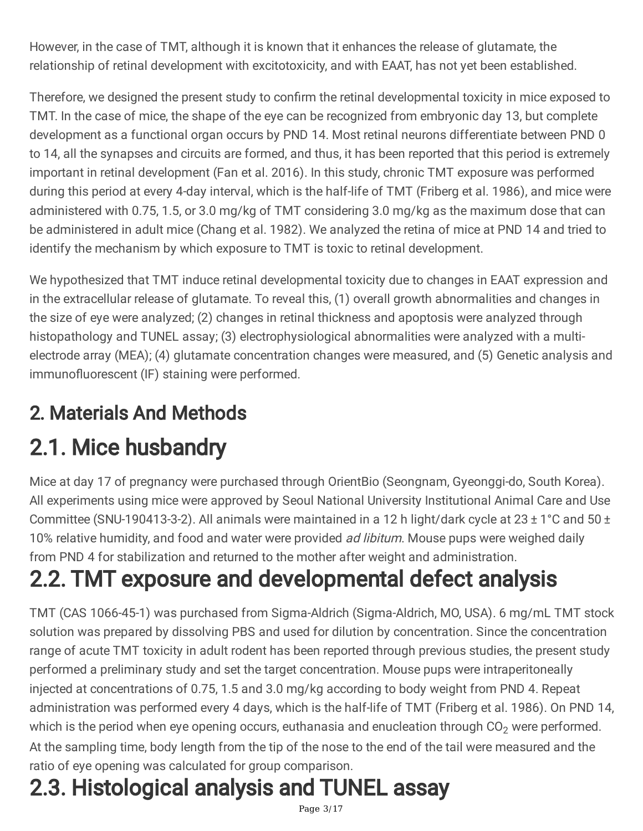However, in the case of TMT, although it is known that it enhances the release of glutamate, the relationship of retinal development with excitotoxicity, and with EAAT, has not yet been established.

Therefore, we designed the present study to confirm the retinal developmental toxicity in mice exposed to TMT. In the case of mice, the shape of the eye can be recognized from embryonic day 13, but complete development as a functional organ occurs by PND 14. Most retinal neurons differentiate between PND 0 to 14, all the synapses and circuits are formed, and thus, it has been reported that this period is extremely important in retinal development (Fan et al. 2016). In this study, chronic TMT exposure was performed during this period at every 4-day interval, which is the half-life of TMT (Friberg et al. 1986), and mice were administered with 0.75, 1.5, or 3.0 mg/kg of TMT considering 3.0 mg/kg as the maximum dose that can be administered in adult mice (Chang et al. 1982). We analyzed the retina of mice at PND 14 and tried to identify the mechanism by which exposure to TMT is toxic to retinal development.

We hypothesized that TMT induce retinal developmental toxicity due to changes in EAAT expression and in the extracellular release of glutamate. To reveal this, (1) overall growth abnormalities and changes in the size of eye were analyzed; (2) changes in retinal thickness and apoptosis were analyzed through histopathology and TUNEL assay; (3) electrophysiological abnormalities were analyzed with a multielectrode array (MEA); (4) glutamate concentration changes were measured, and (5) Genetic analysis and immunofluorescent (IF) staining were performed.

### 2. Materials And Methods

# 2.1. Mice husbandry

Mice at day 17 of pregnancy were purchased through OrientBio (Seongnam, Gyeonggi-do, South Korea). All experiments using mice were approved by Seoul National University Institutional Animal Care and Use Committee (SNU-190413-3-2). All animals were maintained in a 12 h light/dark cycle at 23 ± 1°C and 50 ± 10% relative humidity, and food and water were provided *ad libitum*. Mouse pups were weighed daily from PND 4 for stabilization and returned to the mother after weight and administration.

## 2.2. TMT exposure and developmental defect analysis

TMT (CAS 1066-45-1) was purchased from Sigma-Aldrich (Sigma-Aldrich, MO, USA). 6 mg/mL TMT stock solution was prepared by dissolving PBS and used for dilution by concentration. Since the concentration range of acute TMT toxicity in adult rodent has been reported through previous studies, the present study performed a preliminary study and set the target concentration. Mouse pups were intraperitoneally injected at concentrations of 0.75, 1.5 and 3.0 mg/kg according to body weight from PND 4. Repeat administration was performed every 4 days, which is the half-life of TMT (Friberg et al. 1986). On PND 14, which is the period when eye opening occurs, euthanasia and enucleation through  $CO<sub>2</sub>$  were performed. At the sampling time, body length from the tip of the nose to the end of the tail were measured and the ratio of eye opening was calculated for group comparison.

# 2.3. Histological analysis and TUNEL assay

Page 3/17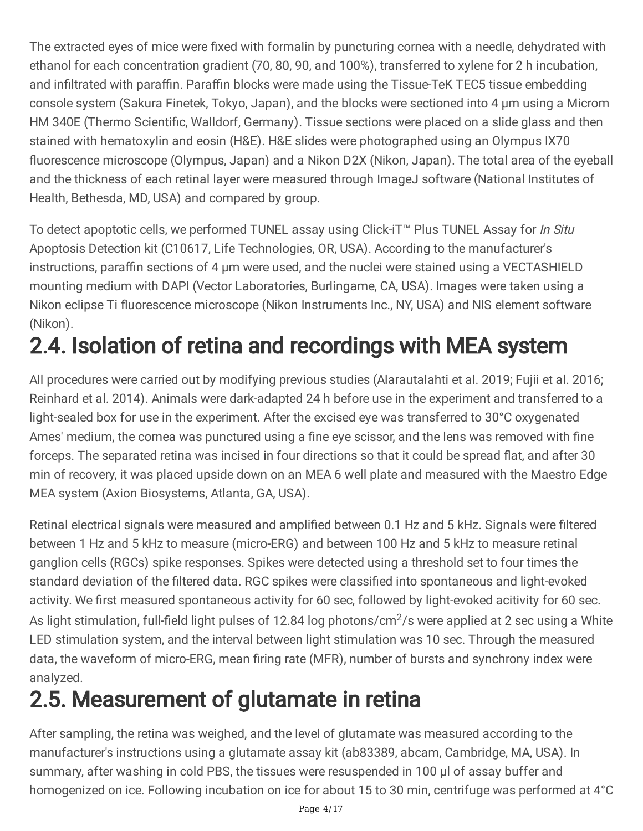The extracted eyes of mice were fixed with formalin by puncturing cornea with a needle, dehydrated with ethanol for each concentration gradient (70, 80, 90, and 100%), transferred to xylene for 2 h incubation, and infiltrated with paraffin. Paraffin blocks were made using the Tissue-TeK TEC5 tissue embedding console system (Sakura Finetek, Tokyo, Japan), and the blocks were sectioned into 4 µm using a Microm HM 340E (Thermo Scientific, Walldorf, Germany). Tissue sections were placed on a slide glass and then stained with hematoxylin and eosin (H&E). H&E slides were photographed using an Olympus IX70 fluorescence microscope (Olympus, Japan) and a Nikon D2X (Nikon, Japan). The total area of the eyeball and the thickness of each retinal layer were measured through ImageJ software (National Institutes of Health, Bethesda, MD, USA) and compared by group.

To detect apoptotic cells, we performed TUNEL assay using Click-iT<sup>™</sup> Plus TUNEL Assay for *In Situ* Apoptosis Detection kit (C10617, Life Technologies, OR, USA). According to the manufacturer's instructions, paraffin sections of 4 µm were used, and the nuclei were stained using a VECTASHIELD mounting medium with DAPI (Vector Laboratories, Burlingame, CA, USA). Images were taken using a Nikon eclipse Ti fluorescence microscope (Nikon Instruments Inc., NY, USA) and NIS element software (Nikon).

# 2.4. Isolation of retina and recordings with MEA system

All procedures were carried out by modifying previous studies (Alarautalahti et al. 2019; Fujii et al. 2016; Reinhard et al. 2014). Animals were dark-adapted 24 h before use in the experiment and transferred to a light-sealed box for use in the experiment. After the excised eye was transferred to 30°C oxygenated Ames' medium, the cornea was punctured using a fine eye scissor, and the lens was removed with fine forceps. The separated retina was incised in four directions so that it could be spread flat, and after 30 min of recovery, it was placed upside down on an MEA 6 well plate and measured with the Maestro Edge MEA system (Axion Biosystems, Atlanta, GA, USA).

Retinal electrical signals were measured and amplified between 0.1 Hz and 5 kHz. Signals were filtered between 1 Hz and 5 kHz to measure (micro-ERG) and between 100 Hz and 5 kHz to measure retinal ganglion cells (RGCs) spike responses. Spikes were detected using a threshold set to four times the standard deviation of the filtered data. RGC spikes were classified into spontaneous and light-evoked activity. We first measured spontaneous activity for 60 sec, followed by light-evoked acitivity for 60 sec. As light stimulation, full-field light pulses of 12.84 log photons/cm<sup>2</sup>/s were applied at 2 sec using a White LED stimulation system, and the interval between light stimulation was 10 sec. Through the measured data, the waveform of micro-ERG, mean firing rate (MFR), number of bursts and synchrony index were analyzed.

## 2.5. Measurement of glutamate in retina

After sampling, the retina was weighed, and the level of glutamate was measured according to the manufacturer's instructions using a glutamate assay kit (ab83389, abcam, Cambridge, MA, USA). In summary, after washing in cold PBS, the tissues were resuspended in 100 µl of assay buffer and homogenized on ice. Following incubation on ice for about 15 to 30 min, centrifuge was performed at 4°C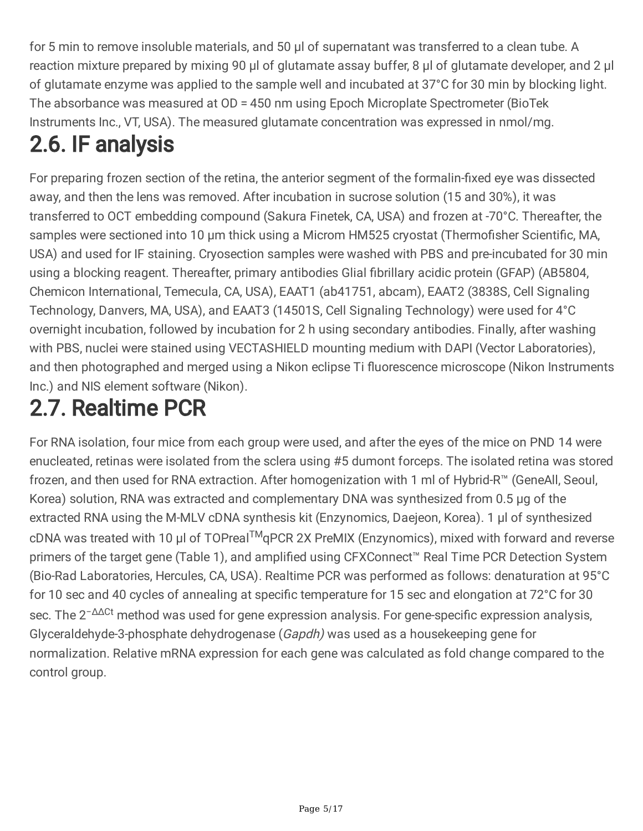for 5 min to remove insoluble materials, and 50 µl of supernatant was transferred to a clean tube. A reaction mixture prepared by mixing 90 µl of glutamate assay buffer, 8 µl of glutamate developer, and 2 µl of glutamate enzyme was applied to the sample well and incubated at 37°C for 30 min by blocking light. The absorbance was measured at OD = 450 nm using Epoch Microplate Spectrometer (BioTek Instruments Inc., VT, USA). The measured glutamate concentration was expressed in nmol/mg.

# 2.6. IF analysis

For preparing frozen section of the retina, the anterior segment of the formalin-fixed eye was dissected away, and then the lens was removed. After incubation in sucrose solution (15 and 30%), it was transferred to OCT embedding compound (Sakura Finetek, CA, USA) and frozen at -70°C. Thereafter, the samples were sectioned into 10 µm thick using a Microm HM525 cryostat (Thermofisher Scientific, MA, USA) and used for IF staining. Cryosection samples were washed with PBS and pre-incubated for 30 min using a blocking reagent. Thereafter, primary antibodies Glial fibrillary acidic protein (GFAP) (AB5804, Chemicon International, Temecula, CA, USA), EAAT1 (ab41751, abcam), EAAT2 (3838S, Cell Signaling Technology, Danvers, MA, USA), and EAAT3 (14501S, Cell Signaling Technology) were used for 4°C overnight incubation, followed by incubation for 2 h using secondary antibodies. Finally, after washing with PBS, nuclei were stained using VECTASHIELD mounting medium with DAPI (Vector Laboratories), and then photographed and merged using a Nikon eclipse Ti fluorescence microscope (Nikon Instruments Inc.) and NIS element software (Nikon).

# 2.7. Realtime PCR

For RNA isolation, four mice from each group were used, and after the eyes of the mice on PND 14 were enucleated, retinas were isolated from the sclera using #5 dumont forceps. The isolated retina was stored frozen, and then used for RNA extraction. After homogenization with 1 ml of Hybrid-R™ (GeneAll, Seoul, Korea) solution, RNA was extracted and complementary DNA was synthesized from 0.5 µg of the extracted RNA using the M-MLV cDNA synthesis kit (Enzynomics, Daejeon, Korea). 1 µl of synthesized cDNA was treated with 10 µl of TOPreal™qPCR 2X PreMIX (Enzynomics), mixed with forward and reverse primers of the target gene (Table 1), and amplified using CFXConnect<sup>™</sup> Real Time PCR Detection System (Bio-Rad Laboratories, Hercules, CA, USA). Realtime PCR was performed as follows: denaturation at 95°C for 10 sec and 40 cycles of annealing at specific temperature for 15 sec and elongation at 72°C for 30 sec. The 2<sup>-ΔΔCt</sup> method was used for gene expression analysis. For gene-specific expression analysis, Glyceraldehyde-3-phosphate dehydrogenase (Gapdh) was used as a housekeeping gene for normalization. Relative mRNA expression for each gene was calculated as fold change compared to the control group.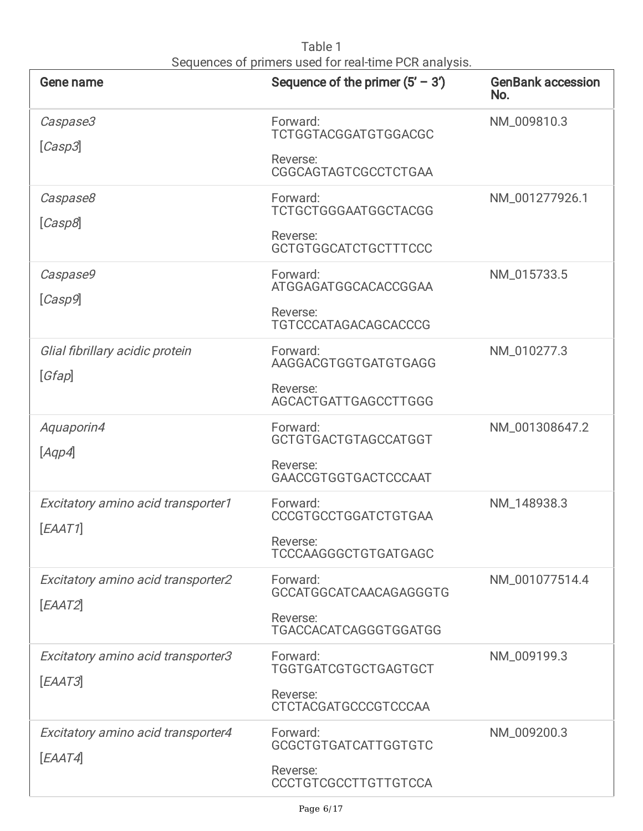| Gene name                                     | Sequence of the primer $(5' - 3')$                                                 | <b>GenBank accession</b><br>No. |
|-----------------------------------------------|------------------------------------------------------------------------------------|---------------------------------|
| Caspase3<br>[Casp3]                           | Forward:<br><b>TCTGGTACGGATGTGGACGC</b><br>Reverse:<br>CGGCAGTAGTCGCCTCTGAA        | NM_009810.3                     |
| Caspase8<br>[Casp8]                           | Forward:<br><b>TCTGCTGGGAATGGCTACGG</b><br>Reverse:<br><b>GCTGTGGCATCTGCTTTCCC</b> | NM_001277926.1                  |
| Caspase9<br>[Casp9]                           | Forward:<br>ATGGAGATGGCACACCGGAA<br>Reverse:<br>TGTCCCATAGACAGCACCCG               | NM_015733.5                     |
| Glial fibrillary acidic protein<br>[Gfap]     | Forward:<br>AAGGACGTGGTGATGTGAGG<br>Reverse:<br>AGCACTGATTGAGCCTTGGG               | NM_010277.3                     |
| Aquaporin4<br>[Aqp4]                          | Forward:<br>GCTGTGACTGTAGCCATGGT<br>Reverse:<br>GAACCGTGGTGACTCCCAAT               | NM_001308647.2                  |
| Excitatory amino acid transporter1<br>[EAAT1] | Forward:<br><b>CCCGTGCCTGGATCTGTGAA</b><br>Reverse:<br>TCCCAAGGGCTGTGATGAGC        | NM_148938.3                     |
| Excitatory amino acid transporter2<br>[EAAT2] | Forward:<br>GCCATGGCATCAACAGAGGGTG<br>Reverse:<br>TGACCACATCAGGGTGGATGG            | NM_001077514.4                  |
| Excitatory amino acid transporter3<br>[EAAT3] | Forward:<br>TGGTGATCGTGCTGAGTGCT<br>Reverse:<br><b>CTCTACGATGCCCGTCCCAA</b>        | NM_009199.3                     |
| Excitatory amino acid transporter4<br>[EAAT4] | Forward:<br><b>GCGCTGTGATCATTGGTGTC</b><br>Reverse:<br>CCCTGTCGCCTTGTTGTCCA        | NM_009200.3                     |

Table 1 Sequences of primers used for real-time PCR analysis.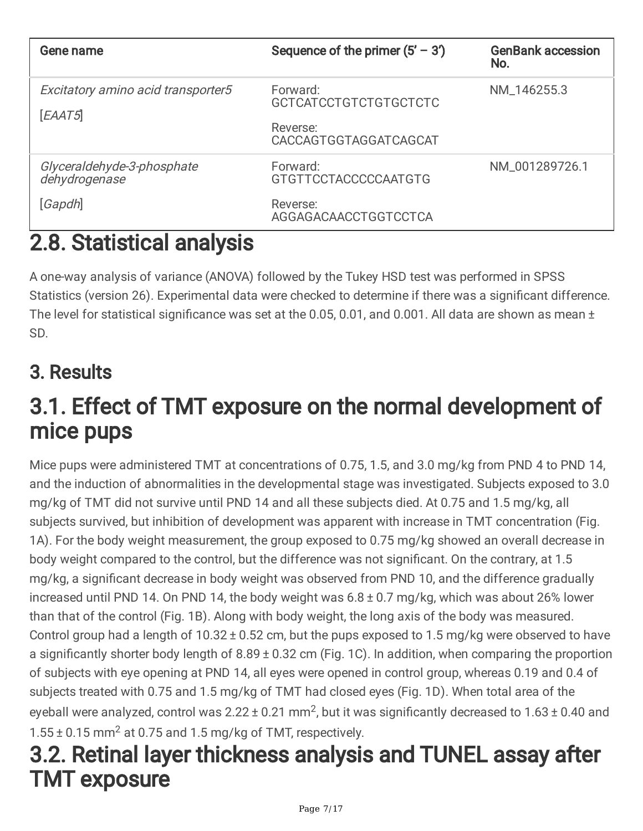| Gene name                                     | Sequence of the primer $(5' – 3')$                   | <b>GenBank accession</b><br>No. |
|-----------------------------------------------|------------------------------------------------------|---------------------------------|
| Excitatory amino acid transporter5<br>[EAAT5] | Forward:<br><b>GCTCATCCTGTCTGTGCTCTC</b><br>Reverse: | NM_146255.3                     |
|                                               | CACCAGTGGTAGGATCAGCAT                                |                                 |
| Glyceraldehyde-3-phosphate<br>dehydrogenase   | Forward:<br><b>GTGTTCCTACCCCCCAATGTG</b>             | NM_001289726.1                  |
| [Gapdh]                                       | Reverse:<br>AGGAGACAACCTGGTCCTCA                     |                                 |

### 2.8. Statistical analysis

A one-way analysis of variance (ANOVA) followed by the Tukey HSD test was performed in SPSS Statistics (version 26). Experimental data were checked to determine if there was a significant difference. The level for statistical significance was set at the 0.05, 0.01, and 0.001. All data are shown as mean ± SD.

### 3. Results

### 3.1. Effect of TMT exposure on the normal development of mice pups

Mice pups were administered TMT at concentrations of 0.75, 1.5, and 3.0 mg/kg from PND 4 to PND 14, and the induction of abnormalities in the developmental stage was investigated. Subjects exposed to 3.0 mg/kg of TMT did not survive until PND 14 and all these subjects died. At 0.75 and 1.5 mg/kg, all subjects survived, but inhibition of development was apparent with increase in TMT concentration (Fig. 1A). For the body weight measurement, the group exposed to 0.75 mg/kg showed an overall decrease in body weight compared to the control, but the difference was not significant. On the contrary, at 1.5 mg/kg, a significant decrease in body weight was observed from PND 10, and the difference gradually increased until PND 14. On PND 14, the body weight was 6.8 ± 0.7 mg/kg, which was about 26% lower than that of the control (Fig. 1B). Along with body weight, the long axis of the body was measured. Control group had a length of 10.32 ± 0.52 cm, but the pups exposed to 1.5 mg/kg were observed to have a significantly shorter body length of 8.89 ± 0.32 cm (Fig. 1C). In addition, when comparing the proportion of subjects with eye opening at PND 14, all eyes were opened in control group, whereas 0.19 and 0.4 of subjects treated with 0.75 and 1.5 mg/kg of TMT had closed eyes (Fig. 1D). When total area of the eyeball were analyzed, control was  $2.22 \pm 0.21$  mm<sup>2</sup>, but it was significantly decreased to  $1.63 \pm 0.40$  and  $1.55 \pm 0.15$  mm<sup>2</sup> at 0.75 and 1.5 mg/kg of TMT, respectively.

### 3.2. Retinal layer thickness analysis and TUNEL assay after TMT exposure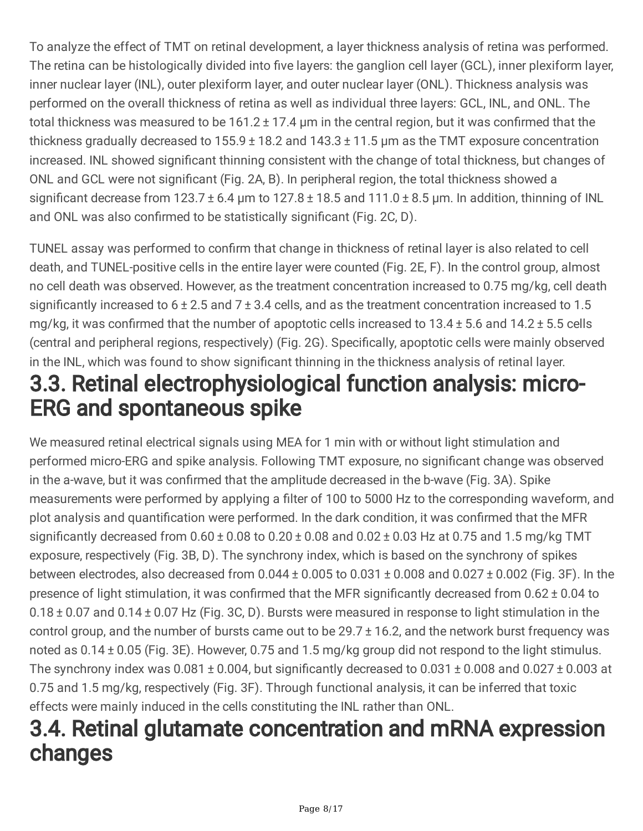To analyze the effect of TMT on retinal development, a layer thickness analysis of retina was performed. The retina can be histologically divided into five layers: the ganglion cell layer (GCL), inner plexiform layer, inner nuclear layer (INL), outer plexiform layer, and outer nuclear layer (ONL). Thickness analysis was performed on the overall thickness of retina as well as individual three layers: GCL, INL, and ONL. The total thickness was measured to be 161.2 ± 17.4 µm in the central region, but it was confirmed that the thickness gradually decreased to  $155.9 \pm 18.2$  and  $143.3 \pm 11.5$  µm as the TMT exposure concentration increased. INL showed significant thinning consistent with the change of total thickness, but changes of ONL and GCL were not significant (Fig. 2A, B). In peripheral region, the total thickness showed a significant decrease from  $123.7 \pm 6.4$  µm to  $127.8 \pm 18.5$  and  $111.0 \pm 8.5$  µm. In addition, thinning of INL and ONL was also confirmed to be statistically significant (Fig. 2C, D).

TUNEL assay was performed to confirm that change in thickness of retinal layer is also related to cell death, and TUNEL-positive cells in the entire layer were counted (Fig. 2E, F). In the control group, almost no cell death was observed. However, as the treatment concentration increased to 0.75 mg/kg, cell death significantly increased to  $6 \pm 2.5$  and  $7 \pm 3.4$  cells, and as the treatment concentration increased to 1.5 mg/kg, it was confirmed that the number of apoptotic cells increased to 13.4 ± 5.6 and 14.2 ± 5.5 cells (central and peripheral regions, respectively) (Fig. 2G). Specifically, apoptotic cells were mainly observed in the INL, which was found to show significant thinning in the thickness analysis of retinal layer. 3.3. Retinal electrophysiological function analysis: micro-

# ERG and spontaneous spike

We measured retinal electrical signals using MEA for 1 min with or without light stimulation and performed micro-ERG and spike analysis. Following TMT exposure, no significant change was observed in the a-wave, but it was confirmed that the amplitude decreased in the b-wave (Fig. 3A). Spike measurements were performed by applying a filter of 100 to 5000 Hz to the corresponding waveform, and plot analysis and quantification were performed. In the dark condition, it was confirmed that the MFR significantly decreased from  $0.60 \pm 0.08$  to  $0.20 \pm 0.08$  and  $0.02 \pm 0.03$  Hz at 0.75 and 1.5 mg/kg TMT exposure, respectively (Fig. 3B, D). The synchrony index, which is based on the synchrony of spikes between electrodes, also decreased from  $0.044 \pm 0.005$  to  $0.031 \pm 0.008$  and  $0.027 \pm 0.002$  (Fig. 3F). In the presence of light stimulation, it was confirmed that the MFR significantly decreased from 0.62 ± 0.04 to 0.18 ± 0.07 and 0.14 ± 0.07 Hz (Fig. 3C, D). Bursts were measured in response to light stimulation in the control group, and the number of bursts came out to be  $29.7 \pm 16.2$ , and the network burst frequency was noted as 0.14 ± 0.05 (Fig. 3E). However, 0.75 and 1.5 mg/kg group did not respond to the light stimulus. The synchrony index was 0.081 ± 0.004, but significantly decreased to 0.031 ± 0.008 and 0.027 ± 0.003 at 0.75 and 1.5 mg/kg, respectively (Fig. 3F). Through functional analysis, it can be inferred that toxic effects were mainly induced in the cells constituting the INL rather than ONL.

### 3.4. Retinal glutamate concentration and mRNA expression changes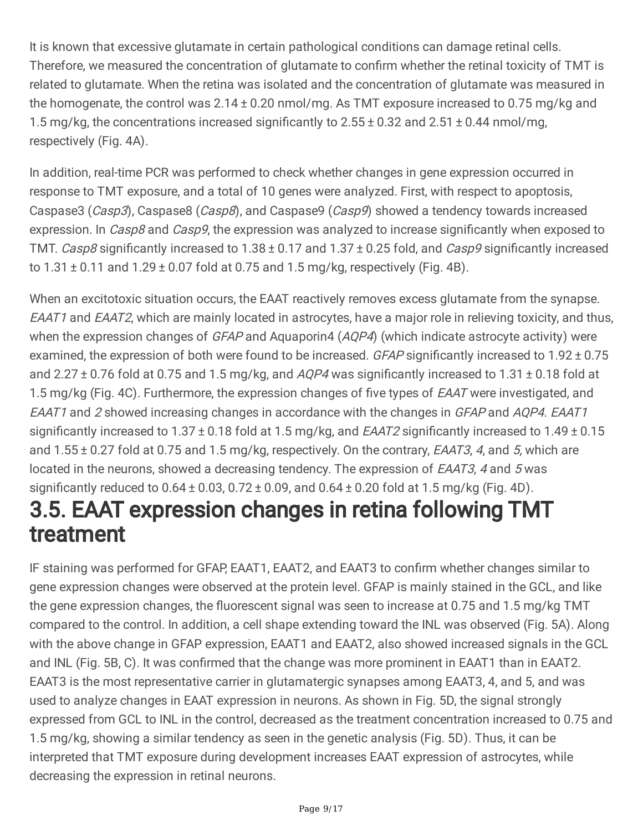It is known that excessive glutamate in certain pathological conditions can damage retinal cells. Therefore, we measured the concentration of glutamate to confirm whether the retinal toxicity of TMT is related to glutamate. When the retina was isolated and the concentration of glutamate was measured in the homogenate, the control was 2.14 ± 0.20 nmol/mg. As TMT exposure increased to 0.75 mg/kg and 1.5 mg/kg, the concentrations increased significantly to 2.55 ± 0.32 and 2.51 ± 0.44 nmol/mg, respectively (Fig. 4A).

In addition, real-time PCR was performed to check whether changes in gene expression occurred in response to TMT exposure, and a total of 10 genes were analyzed. First, with respect to apoptosis, Caspase3 (Casp3), Caspase8 (Casp8), and Caspase9 (Casp9) showed a tendency towards increased expression. In Casp8 and Casp9, the expression was analyzed to increase significantly when exposed to TMT. Casp8 significantly increased to 1.38 ± 0.17 and 1.37 ± 0.25 fold, and Casp9 significantly increased to  $1.31 \pm 0.11$  and  $1.29 \pm 0.07$  fold at 0.75 and 1.5 mg/kg, respectively (Fig. 4B).

When an excitotoxic situation occurs, the EAAT reactively removes excess glutamate from the synapse. EAAT1 and EAAT2, which are mainly located in astrocytes, have a major role in relieving toxicity, and thus, when the expression changes of GFAP and Aquaporin4 (AQP4) (which indicate astrocyte activity) were examined, the expression of both were found to be increased. GFAP significantly increased to 1.92 ± 0.75 and 2.27  $\pm$  0.76 fold at 0.75 and 1.5 mg/kg, and AQP4 was significantly increased to 1.31  $\pm$  0.18 fold at 1.5 mg/kg (Fig. 4C). Furthermore, the expression changes of five types of *EAAT* were investigated, and EAAT1 and 2 showed increasing changes in accordance with the changes in GFAP and AQP4. EAAT1 significantly increased to  $1.37 \pm 0.18$  fold at 1.5 mg/kg, and *EAAT2* significantly increased to  $1.49 \pm 0.15$ and  $1.55 \pm 0.27$  fold at 0.75 and 1.5 mg/kg, respectively. On the contrary, *EAAT3*, 4, and 5, which are located in the neurons, showed a decreasing tendency. The expression of *EAAT3*, 4 and 5 was significantly reduced to  $0.64 \pm 0.03$ ,  $0.72 \pm 0.09$ , and  $0.64 \pm 0.20$  fold at 1.5 mg/kg (Fig. 4D). 3.5. EAAT expression changes in retina following TMT

# treatment

IF staining was performed for GFAP, EAAT1, EAAT2, and EAAT3 to confirm whether changes similar to gene expression changes were observed at the protein level. GFAP is mainly stained in the GCL, and like the gene expression changes, the fluorescent signal was seen to increase at 0.75 and 1.5 mg/kg TMT compared to the control. In addition, a cell shape extending toward the INL was observed (Fig. 5A). Along with the above change in GFAP expression, EAAT1 and EAAT2, also showed increased signals in the GCL and INL (Fig. 5B, C). It was confirmed that the change was more prominent in EAAT1 than in EAAT2. EAAT3 is the most representative carrier in glutamatergic synapses among EAAT3, 4, and 5, and was used to analyze changes in EAAT expression in neurons. As shown in Fig. 5D, the signal strongly expressed from GCL to INL in the control, decreased as the treatment concentration increased to 0.75 and 1.5 mg/kg, showing a similar tendency as seen in the genetic analysis (Fig. 5D). Thus, it can be interpreted that TMT exposure during development increases EAAT expression of astrocytes, while decreasing the expression in retinal neurons.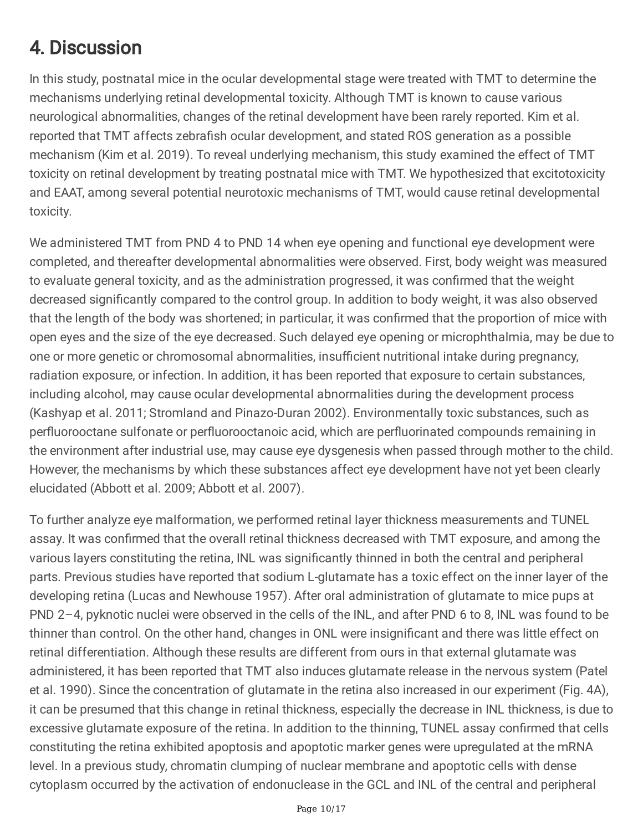### 4. Discussion

In this study, postnatal mice in the ocular developmental stage were treated with TMT to determine the mechanisms underlying retinal developmental toxicity. Although TMT is known to cause various neurological abnormalities, changes of the retinal development have been rarely reported. Kim et al. reported that TMT affects zebrafish ocular development, and stated ROS generation as a possible mechanism (Kim et al. 2019). To reveal underlying mechanism, this study examined the effect of TMT toxicity on retinal development by treating postnatal mice with TMT. We hypothesized that excitotoxicity and EAAT, among several potential neurotoxic mechanisms of TMT, would cause retinal developmental toxicity.

We administered TMT from PND 4 to PND 14 when eye opening and functional eye development were completed, and thereafter developmental abnormalities were observed. First, body weight was measured to evaluate general toxicity, and as the administration progressed, it was confirmed that the weight decreased significantly compared to the control group. In addition to body weight, it was also observed that the length of the body was shortened; in particular, it was confirmed that the proportion of mice with open eyes and the size of the eye decreased. Such delayed eye opening or microphthalmia, may be due to one or more genetic or chromosomal abnormalities, insufficient nutritional intake during pregnancy, radiation exposure, or infection. In addition, it has been reported that exposure to certain substances, including alcohol, may cause ocular developmental abnormalities during the development process (Kashyap et al. 2011; Stromland and Pinazo-Duran 2002). Environmentally toxic substances, such as perfluorooctane sulfonate or perfluorooctanoic acid, which are perfluorinated compounds remaining in the environment after industrial use, may cause eye dysgenesis when passed through mother to the child. However, the mechanisms by which these substances affect eye development have not yet been clearly elucidated (Abbott et al. 2009; Abbott et al. 2007).

To further analyze eye malformation, we performed retinal layer thickness measurements and TUNEL assay. It was confirmed that the overall retinal thickness decreased with TMT exposure, and among the various layers constituting the retina, INL was significantly thinned in both the central and peripheral parts. Previous studies have reported that sodium L-glutamate has a toxic effect on the inner layer of the developing retina (Lucas and Newhouse 1957). After oral administration of glutamate to mice pups at PND 2–4, pyknotic nuclei were observed in the cells of the INL, and after PND 6 to 8, INL was found to be thinner than control. On the other hand, changes in ONL were insignificant and there was little effect on retinal differentiation. Although these results are different from ours in that external glutamate was administered, it has been reported that TMT also induces glutamate release in the nervous system (Patel et al. 1990). Since the concentration of glutamate in the retina also increased in our experiment (Fig. 4A), it can be presumed that this change in retinal thickness, especially the decrease in INL thickness, is due to excessive glutamate exposure of the retina. In addition to the thinning, TUNEL assay confirmed that cells constituting the retina exhibited apoptosis and apoptotic marker genes were upregulated at the mRNA level. In a previous study, chromatin clumping of nuclear membrane and apoptotic cells with dense cytoplasm occurred by the activation of endonuclease in the GCL and INL of the central and peripheral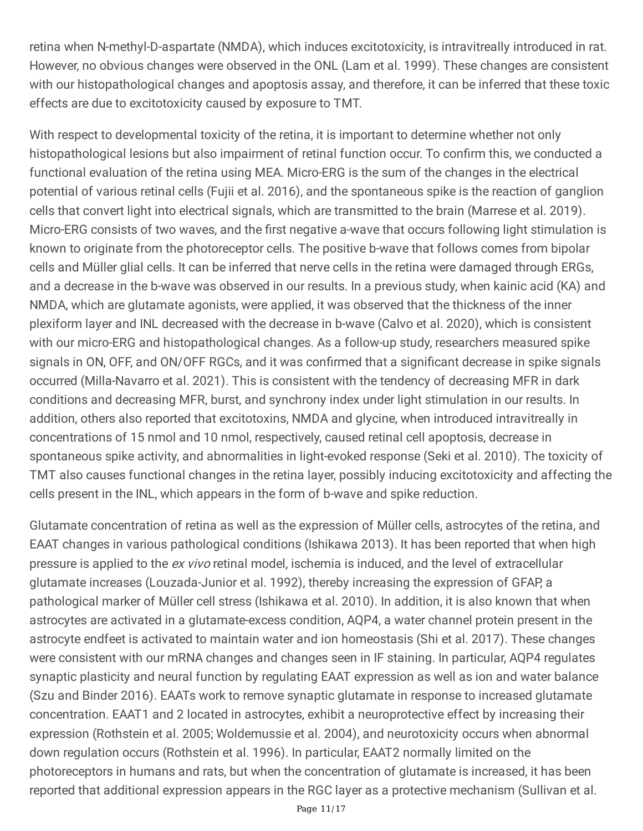retina when N-methyl-D-aspartate (NMDA), which induces excitotoxicity, is intravitreally introduced in rat. However, no obvious changes were observed in the ONL (Lam et al. 1999). These changes are consistent with our histopathological changes and apoptosis assay, and therefore, it can be inferred that these toxic effects are due to excitotoxicity caused by exposure to TMT.

With respect to developmental toxicity of the retina, it is important to determine whether not only histopathological lesions but also impairment of retinal function occur. To confirm this, we conducted a functional evaluation of the retina using MEA. Micro-ERG is the sum of the changes in the electrical potential of various retinal cells (Fujii et al. 2016), and the spontaneous spike is the reaction of ganglion cells that convert light into electrical signals, which are transmitted to the brain (Marrese et al. 2019). Micro-ERG consists of two waves, and the first negative a-wave that occurs following light stimulation is known to originate from the photoreceptor cells. The positive b-wave that follows comes from bipolar cells and Müller glial cells. It can be inferred that nerve cells in the retina were damaged through ERGs, and a decrease in the b-wave was observed in our results. In a previous study, when kainic acid (KA) and NMDA, which are glutamate agonists, were applied, it was observed that the thickness of the inner plexiform layer and INL decreased with the decrease in b-wave (Calvo et al. 2020), which is consistent with our micro-ERG and histopathological changes. As a follow-up study, researchers measured spike signals in ON, OFF, and ON/OFF RGCs, and it was confirmed that a significant decrease in spike signals occurred (Milla-Navarro et al. 2021). This is consistent with the tendency of decreasing MFR in dark conditions and decreasing MFR, burst, and synchrony index under light stimulation in our results. In addition, others also reported that excitotoxins, NMDA and glycine, when introduced intravitreally in concentrations of 15 nmol and 10 nmol, respectively, caused retinal cell apoptosis, decrease in spontaneous spike activity, and abnormalities in light-evoked response (Seki et al. 2010). The toxicity of TMT also causes functional changes in the retina layer, possibly inducing excitotoxicity and affecting the cells present in the INL, which appears in the form of b-wave and spike reduction.

Glutamate concentration of retina as well as the expression of Müller cells, astrocytes of the retina, and EAAT changes in various pathological conditions (Ishikawa 2013). It has been reported that when high pressure is applied to the ex vivo retinal model, ischemia is induced, and the level of extracellular glutamate increases (Louzada-Junior et al. 1992), thereby increasing the expression of GFAP, a pathological marker of Müller cell stress (Ishikawa et al. 2010). In addition, it is also known that when astrocytes are activated in a glutamate-excess condition, AQP4, a water channel protein present in the astrocyte endfeet is activated to maintain water and ion homeostasis (Shi et al. 2017). These changes were consistent with our mRNA changes and changes seen in IF staining. In particular, AQP4 regulates synaptic plasticity and neural function by regulating EAAT expression as well as ion and water balance (Szu and Binder 2016). EAATs work to remove synaptic glutamate in response to increased glutamate concentration. EAAT1 and 2 located in astrocytes, exhibit a neuroprotective effect by increasing their expression (Rothstein et al. 2005; Woldemussie et al. 2004), and neurotoxicity occurs when abnormal down regulation occurs (Rothstein et al. 1996). In particular, EAAT2 normally limited on the photoreceptors in humans and rats, but when the concentration of glutamate is increased, it has been reported that additional expression appears in the RGC layer as a protective mechanism (Sullivan et al.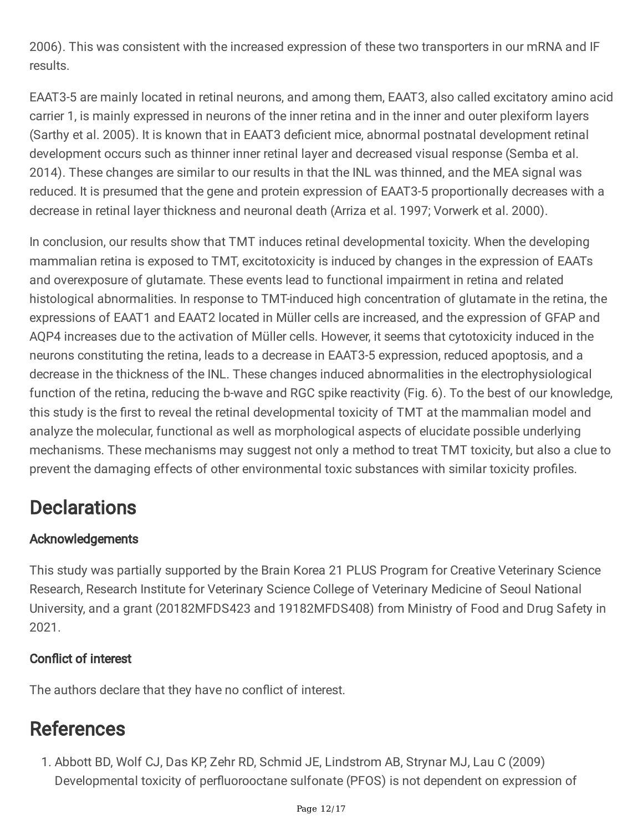2006). This was consistent with the increased expression of these two transporters in our mRNA and IF results.

EAAT3-5 are mainly located in retinal neurons, and among them, EAAT3, also called excitatory amino acid carrier 1, is mainly expressed in neurons of the inner retina and in the inner and outer plexiform layers (Sarthy et al. 2005). It is known that in EAAT3 deficient mice, abnormal postnatal development retinal development occurs such as thinner inner retinal layer and decreased visual response (Semba et al. 2014). These changes are similar to our results in that the INL was thinned, and the MEA signal was reduced. It is presumed that the gene and protein expression of EAAT3-5 proportionally decreases with a decrease in retinal layer thickness and neuronal death (Arriza et al. 1997; Vorwerk et al. 2000).

In conclusion, our results show that TMT induces retinal developmental toxicity. When the developing mammalian retina is exposed to TMT, excitotoxicity is induced by changes in the expression of EAATs and overexposure of glutamate. These events lead to functional impairment in retina and related histological abnormalities. In response to TMT-induced high concentration of glutamate in the retina, the expressions of EAAT1 and EAAT2 located in Müller cells are increased, and the expression of GFAP and AQP4 increases due to the activation of Müller cells. However, it seems that cytotoxicity induced in the neurons constituting the retina, leads to a decrease in EAAT3-5 expression, reduced apoptosis, and a decrease in the thickness of the INL. These changes induced abnormalities in the electrophysiological function of the retina, reducing the b-wave and RGC spike reactivity (Fig. 6). To the best of our knowledge, this study is the first to reveal the retinal developmental toxicity of TMT at the mammalian model and analyze the molecular, functional as well as morphological aspects of elucidate possible underlying mechanisms. These mechanisms may suggest not only a method to treat TMT toxicity, but also a clue to prevent the damaging effects of other environmental toxic substances with similar toxicity profiles.

### **Declarations**

#### Acknowledgements

This study was partially supported by the Brain Korea 21 PLUS Program for Creative Veterinary Science Research, Research Institute for Veterinary Science College of Veterinary Medicine of Seoul National University, and a grant (20182MFDS423 and 19182MFDS408) from Ministry of Food and Drug Safety in 2021.

#### Conflict of interest

The authors declare that they have no conflict of interest.

### **References**

1. Abbott BD, Wolf CJ, Das KP, Zehr RD, Schmid JE, Lindstrom AB, Strynar MJ, Lau C (2009) Developmental toxicity of perfluorooctane sulfonate (PFOS) is not dependent on expression of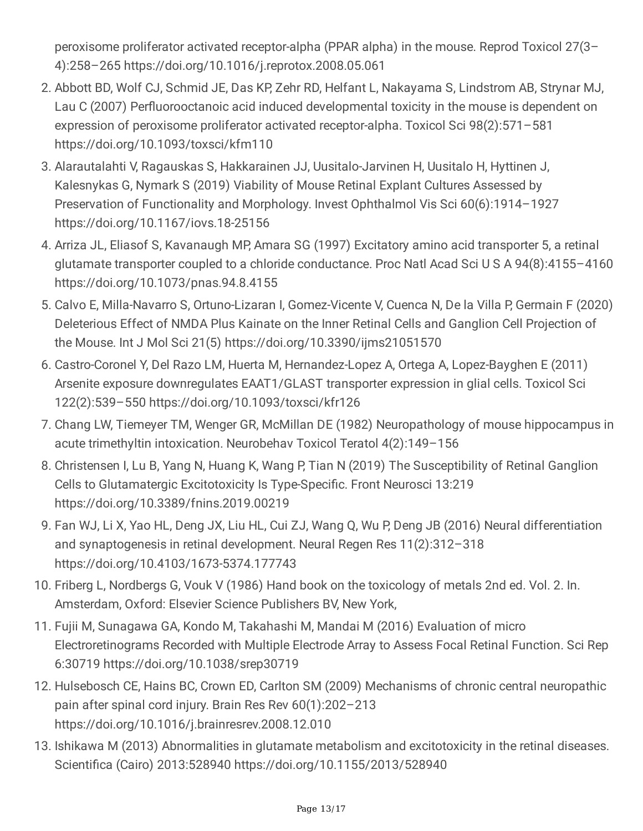peroxisome proliferator activated receptor-alpha (PPAR alpha) in the mouse. Reprod Toxicol 27(3– 4):258–265 https://doi.org/10.1016/j.reprotox.2008.05.061

- 2. Abbott BD, Wolf CJ, Schmid JE, Das KP, Zehr RD, Helfant L, Nakayama S, Lindstrom AB, Strynar MJ, Lau C (2007) Perfluorooctanoic acid induced developmental toxicity in the mouse is dependent on expression of peroxisome proliferator activated receptor-alpha. Toxicol Sci 98(2):571–581 https://doi.org/10.1093/toxsci/kfm110
- 3. Alarautalahti V, Ragauskas S, Hakkarainen JJ, Uusitalo-Jarvinen H, Uusitalo H, Hyttinen J, Kalesnykas G, Nymark S (2019) Viability of Mouse Retinal Explant Cultures Assessed by Preservation of Functionality and Morphology. Invest Ophthalmol Vis Sci 60(6):1914–1927 https://doi.org/10.1167/iovs.18-25156
- 4. Arriza JL, Eliasof S, Kavanaugh MP, Amara SG (1997) Excitatory amino acid transporter 5, a retinal glutamate transporter coupled to a chloride conductance. Proc Natl Acad Sci U S A 94(8):4155–4160 https://doi.org/10.1073/pnas.94.8.4155
- 5. Calvo E, Milla-Navarro S, Ortuno-Lizaran I, Gomez-Vicente V, Cuenca N, De la Villa P, Germain F (2020) Deleterious Effect of NMDA Plus Kainate on the Inner Retinal Cells and Ganglion Cell Projection of the Mouse. Int J Mol Sci 21(5) https://doi.org/10.3390/ijms21051570
- 6. Castro-Coronel Y, Del Razo LM, Huerta M, Hernandez-Lopez A, Ortega A, Lopez-Bayghen E (2011) Arsenite exposure downregulates EAAT1/GLAST transporter expression in glial cells. Toxicol Sci 122(2):539–550 https://doi.org/10.1093/toxsci/kfr126
- 7. Chang LW, Tiemeyer TM, Wenger GR, McMillan DE (1982) Neuropathology of mouse hippocampus in acute trimethyltin intoxication. Neurobehav Toxicol Teratol 4(2):149–156
- 8. Christensen I, Lu B, Yang N, Huang K, Wang P, Tian N (2019) The Susceptibility of Retinal Ganglion Cells to Glutamatergic Excitotoxicity Is Type-Specific. Front Neurosci 13:219 https://doi.org/10.3389/fnins.2019.00219
- 9. Fan WJ, Li X, Yao HL, Deng JX, Liu HL, Cui ZJ, Wang Q, Wu P, Deng JB (2016) Neural differentiation and synaptogenesis in retinal development. Neural Regen Res 11(2):312–318 https://doi.org/10.4103/1673-5374.177743
- 10. Friberg L, Nordbergs G, Vouk V (1986) Hand book on the toxicology of metals 2nd ed. Vol. 2. In. Amsterdam, Oxford: Elsevier Science Publishers BV, New York,
- 11. Fujii M, Sunagawa GA, Kondo M, Takahashi M, Mandai M (2016) Evaluation of micro Electroretinograms Recorded with Multiple Electrode Array to Assess Focal Retinal Function. Sci Rep 6:30719 https://doi.org/10.1038/srep30719
- 12. Hulsebosch CE, Hains BC, Crown ED, Carlton SM (2009) Mechanisms of chronic central neuropathic pain after spinal cord injury. Brain Res Rev 60(1):202–213 https://doi.org/10.1016/j.brainresrev.2008.12.010
- 13. Ishikawa M (2013) Abnormalities in glutamate metabolism and excitotoxicity in the retinal diseases. Scientifica (Cairo) 2013:528940 https://doi.org/10.1155/2013/528940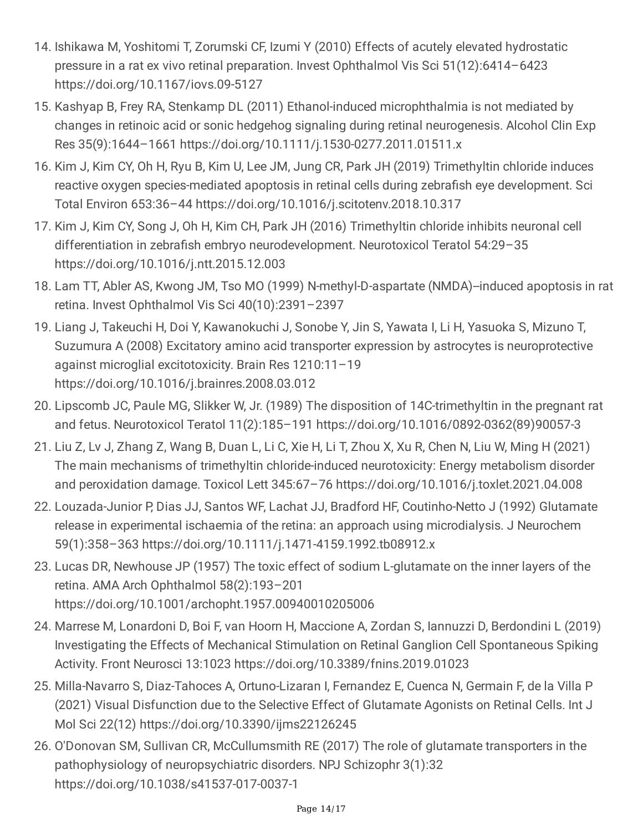- 14. Ishikawa M, Yoshitomi T, Zorumski CF, Izumi Y (2010) Effects of acutely elevated hydrostatic pressure in a rat ex vivo retinal preparation. Invest Ophthalmol Vis Sci 51(12):6414–6423 https://doi.org/10.1167/iovs.09-5127
- 15. Kashyap B, Frey RA, Stenkamp DL (2011) Ethanol-induced microphthalmia is not mediated by changes in retinoic acid or sonic hedgehog signaling during retinal neurogenesis. Alcohol Clin Exp Res 35(9):1644–1661 https://doi.org/10.1111/j.1530-0277.2011.01511.x
- 16. Kim J, Kim CY, Oh H, Ryu B, Kim U, Lee JM, Jung CR, Park JH (2019) Trimethyltin chloride induces reactive oxygen species-mediated apoptosis in retinal cells during zebrafish eye development. Sci Total Environ 653:36–44 https://doi.org/10.1016/j.scitotenv.2018.10.317
- 17. Kim J, Kim CY, Song J, Oh H, Kim CH, Park JH (2016) Trimethyltin chloride inhibits neuronal cell differentiation in zebrafish embryo neurodevelopment. Neurotoxicol Teratol 54:29–35 https://doi.org/10.1016/j.ntt.2015.12.003
- 18. Lam TT, Abler AS, Kwong JM, Tso MO (1999) N-methyl-D-aspartate (NMDA)--induced apoptosis in rat retina. Invest Ophthalmol Vis Sci 40(10):2391–2397
- 19. Liang J, Takeuchi H, Doi Y, Kawanokuchi J, Sonobe Y, Jin S, Yawata I, Li H, Yasuoka S, Mizuno T, Suzumura A (2008) Excitatory amino acid transporter expression by astrocytes is neuroprotective against microglial excitotoxicity. Brain Res 1210:11–19 https://doi.org/10.1016/j.brainres.2008.03.012
- 20. Lipscomb JC, Paule MG, Slikker W, Jr. (1989) The disposition of 14C-trimethyltin in the pregnant rat and fetus. Neurotoxicol Teratol 11(2):185–191 https://doi.org/10.1016/0892-0362(89)90057-3
- 21. Liu Z, Lv J, Zhang Z, Wang B, Duan L, Li C, Xie H, Li T, Zhou X, Xu R, Chen N, Liu W, Ming H (2021) The main mechanisms of trimethyltin chloride-induced neurotoxicity: Energy metabolism disorder and peroxidation damage. Toxicol Lett 345:67–76 https://doi.org/10.1016/j.toxlet.2021.04.008
- 22. Louzada-Junior P, Dias JJ, Santos WF, Lachat JJ, Bradford HF, Coutinho-Netto J (1992) Glutamate release in experimental ischaemia of the retina: an approach using microdialysis. J Neurochem 59(1):358–363 https://doi.org/10.1111/j.1471-4159.1992.tb08912.x
- 23. Lucas DR, Newhouse JP (1957) The toxic effect of sodium L-glutamate on the inner layers of the retina. AMA Arch Ophthalmol 58(2):193–201 https://doi.org/10.1001/archopht.1957.00940010205006
- 24. Marrese M, Lonardoni D, Boi F, van Hoorn H, Maccione A, Zordan S, Iannuzzi D, Berdondini L (2019) Investigating the Effects of Mechanical Stimulation on Retinal Ganglion Cell Spontaneous Spiking Activity. Front Neurosci 13:1023 https://doi.org/10.3389/fnins.2019.01023
- 25. Milla-Navarro S, Diaz-Tahoces A, Ortuno-Lizaran I, Fernandez E, Cuenca N, Germain F, de la Villa P (2021) Visual Disfunction due to the Selective Effect of Glutamate Agonists on Retinal Cells. Int J Mol Sci 22(12) https://doi.org/10.3390/ijms22126245
- 26. O'Donovan SM, Sullivan CR, McCullumsmith RE (2017) The role of glutamate transporters in the pathophysiology of neuropsychiatric disorders. NPJ Schizophr 3(1):32 https://doi.org/10.1038/s41537-017-0037-1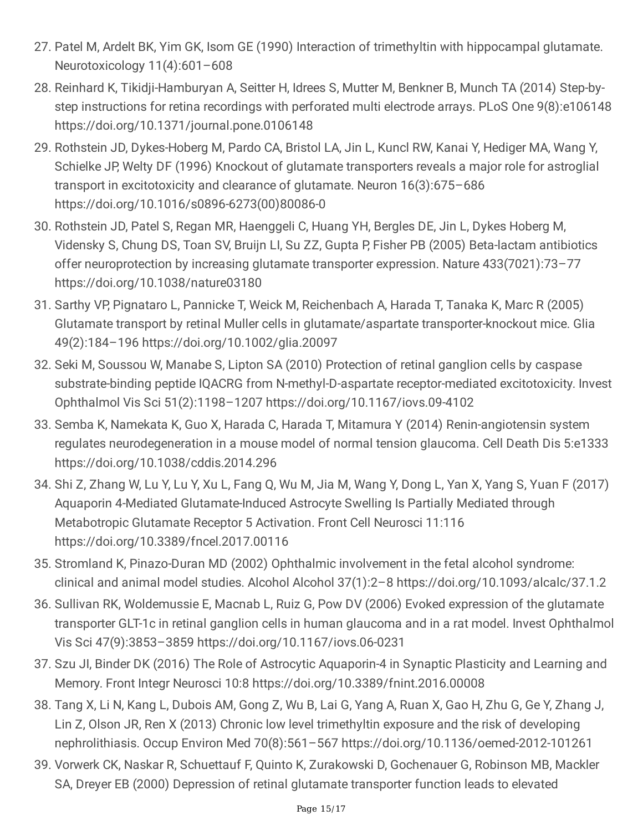- 27. Patel M, Ardelt BK, Yim GK, Isom GE (1990) Interaction of trimethyltin with hippocampal glutamate. Neurotoxicology 11(4):601–608
- 28. Reinhard K, Tikidji-Hamburyan A, Seitter H, Idrees S, Mutter M, Benkner B, Munch TA (2014) Step-bystep instructions for retina recordings with perforated multi electrode arrays. PLoS One 9(8):e106148 https://doi.org/10.1371/journal.pone.0106148
- 29. Rothstein JD, Dykes-Hoberg M, Pardo CA, Bristol LA, Jin L, Kuncl RW, Kanai Y, Hediger MA, Wang Y, Schielke JP, Welty DF (1996) Knockout of glutamate transporters reveals a major role for astroglial transport in excitotoxicity and clearance of glutamate. Neuron 16(3):675–686 https://doi.org/10.1016/s0896-6273(00)80086-0
- 30. Rothstein JD, Patel S, Regan MR, Haenggeli C, Huang YH, Bergles DE, Jin L, Dykes Hoberg M, Vidensky S, Chung DS, Toan SV, Bruijn LI, Su ZZ, Gupta P, Fisher PB (2005) Beta-lactam antibiotics offer neuroprotection by increasing glutamate transporter expression. Nature 433(7021):73–77 https://doi.org/10.1038/nature03180
- 31. Sarthy VP, Pignataro L, Pannicke T, Weick M, Reichenbach A, Harada T, Tanaka K, Marc R (2005) Glutamate transport by retinal Muller cells in glutamate/aspartate transporter-knockout mice. Glia 49(2):184–196 https://doi.org/10.1002/glia.20097
- 32. Seki M, Soussou W, Manabe S, Lipton SA (2010) Protection of retinal ganglion cells by caspase substrate-binding peptide IQACRG from N-methyl-D-aspartate receptor-mediated excitotoxicity. Invest Ophthalmol Vis Sci 51(2):1198–1207 https://doi.org/10.1167/iovs.09-4102
- 33. Semba K, Namekata K, Guo X, Harada C, Harada T, Mitamura Y (2014) Renin-angiotensin system regulates neurodegeneration in a mouse model of normal tension glaucoma. Cell Death Dis 5:e1333 https://doi.org/10.1038/cddis.2014.296
- 34. Shi Z, Zhang W, Lu Y, Lu Y, Xu L, Fang Q, Wu M, Jia M, Wang Y, Dong L, Yan X, Yang S, Yuan F (2017) Aquaporin 4-Mediated Glutamate-Induced Astrocyte Swelling Is Partially Mediated through Metabotropic Glutamate Receptor 5 Activation. Front Cell Neurosci 11:116 https://doi.org/10.3389/fncel.2017.00116
- 35. Stromland K, Pinazo-Duran MD (2002) Ophthalmic involvement in the fetal alcohol syndrome: clinical and animal model studies. Alcohol Alcohol 37(1):2–8 https://doi.org/10.1093/alcalc/37.1.2
- 36. Sullivan RK, Woldemussie E, Macnab L, Ruiz G, Pow DV (2006) Evoked expression of the glutamate transporter GLT-1c in retinal ganglion cells in human glaucoma and in a rat model. Invest Ophthalmol Vis Sci 47(9):3853–3859 https://doi.org/10.1167/iovs.06-0231
- 37. Szu JI, Binder DK (2016) The Role of Astrocytic Aquaporin-4 in Synaptic Plasticity and Learning and Memory. Front Integr Neurosci 10:8 https://doi.org/10.3389/fnint.2016.00008
- 38. Tang X, Li N, Kang L, Dubois AM, Gong Z, Wu B, Lai G, Yang A, Ruan X, Gao H, Zhu G, Ge Y, Zhang J, Lin Z, Olson JR, Ren X (2013) Chronic low level trimethyltin exposure and the risk of developing nephrolithiasis. Occup Environ Med 70(8):561–567 https://doi.org/10.1136/oemed-2012-101261
- 39. Vorwerk CK, Naskar R, Schuettauf F, Quinto K, Zurakowski D, Gochenauer G, Robinson MB, Mackler SA, Dreyer EB (2000) Depression of retinal glutamate transporter function leads to elevated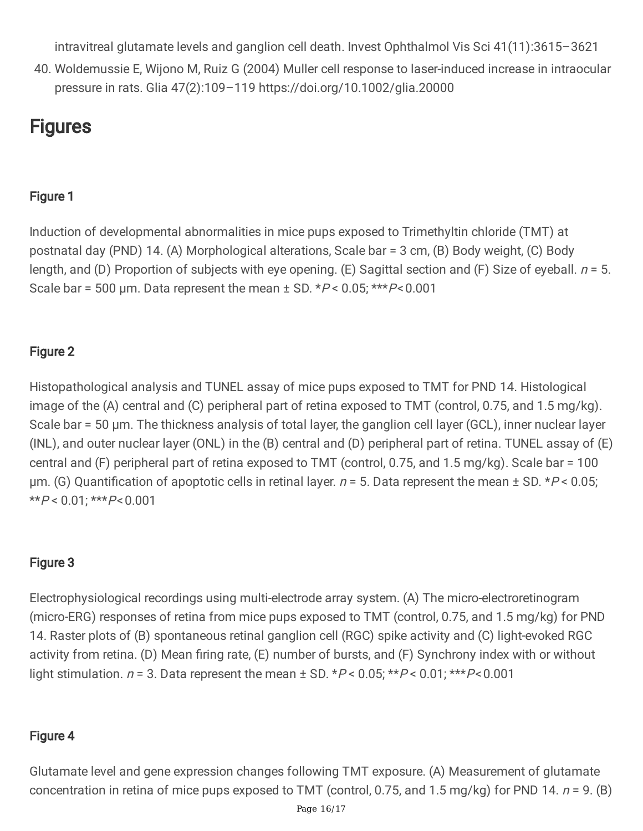intravitreal glutamate levels and ganglion cell death. Invest Ophthalmol Vis Sci 41(11):3615–3621

40. Woldemussie E, Wijono M, Ruiz G (2004) Muller cell response to laser-induced increase in intraocular pressure in rats. Glia 47(2):109–119 https://doi.org/10.1002/glia.20000

#### **Figures**

#### Figure 1

Induction of developmental abnormalities in mice pups exposed to Trimethyltin chloride (TMT) at postnatal day (PND) 14. (A) Morphological alterations, Scale bar = 3 cm, (B) Body weight, (C) Body length, and (D) Proportion of subjects with eye opening. (E) Sagittal section and (F) Size of eyeball.  $n = 5$ . Scale bar = 500 µm. Data represent the mean  $\pm$  SD. \* $P$  < 0.05; \*\*\* $P$  < 0.001

#### Figure 2

Histopathological analysis and TUNEL assay of mice pups exposed to TMT for PND 14. Histological image of the (A) central and (C) peripheral part of retina exposed to TMT (control, 0.75, and 1.5 mg/kg). Scale bar = 50 μm. The thickness analysis of total layer, the ganglion cell layer (GCL), inner nuclear layer (INL), and outer nuclear layer (ONL) in the (B) central and (D) peripheral part of retina. TUNEL assay of (E) central and (F) peripheral part of retina exposed to TMT (control, 0.75, and 1.5 mg/kg). Scale bar = 100 μm. (G) Quantification of apoptotic cells in retinal layer.  $n = 5$ . Data represent the mean  $\pm$  SD. \*P < 0.05;  $*$  $*$  $P$  < 0.01;  $*$  $*$  $*$  $P$  < 0.001

#### Figure 3

Electrophysiological recordings using multi-electrode array system. (A) The micro-electroretinogram (micro-ERG) responses of retina from mice pups exposed to TMT (control, 0.75, and 1.5 mg/kg) for PND 14. Raster plots of (B) spontaneous retinal ganglion cell (RGC) spike activity and (C) light-evoked RGC activity from retina. (D) Mean firing rate, (E) number of bursts, and (F) Synchrony index with or without light stimulation.  $n = 3$ . Data represent the mean  $\pm$  SD. \* $P < 0.05$ ; \*\* $P < 0.01$ ; \*\*\* $P < 0.001$ 

#### Figure 4

Glutamate level and gene expression changes following TMT exposure. (A) Measurement of glutamate concentration in retina of mice pups exposed to TMT (control, 0.75, and 1.5 mg/kg) for PND 14.  $n = 9$ . (B)